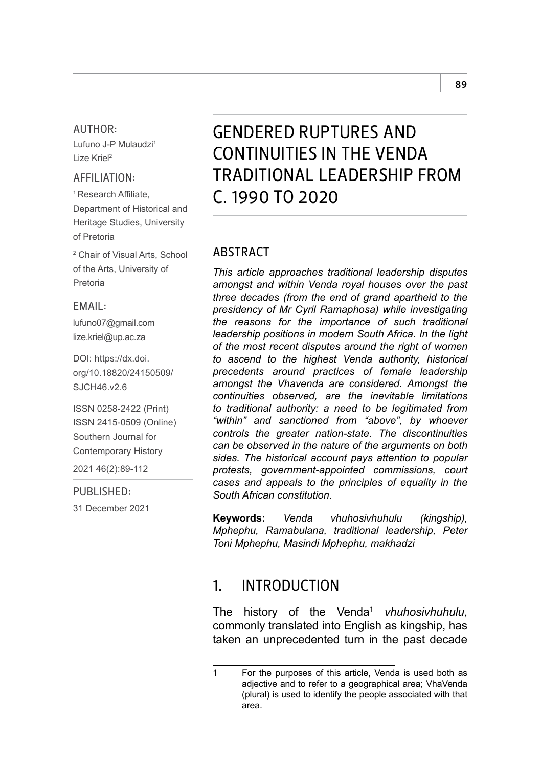#### AUTHOR:

Lufuno J-P Mulaudzi1 Lize Kriel2

#### AFFILIATION:

<sup>1</sup> Research Affiliate, Department of Historical and Heritage Studies, University of Pretoria

2 Chair of Visual Arts, School of the Arts, University of Pretoria

#### EMAIL:

[lufuno07@gmail.com](mailto:lufuno07@gmail.com) [lize.kriel@up.ac.za](mailto:lize.kriel@up.ac.za)

DOI: [https://dx.doi.](https://dx.doi.org/10.18820/24150509/SJCH46.v2.6) [org/10.18820/24150509/](https://dx.doi.org/10.18820/24150509/SJCH46.v2.6) [SJCH46.v2.6](https://dx.doi.org/10.18820/24150509/SJCH46.v2.6)

ISSN 0258-2422 (Print) ISSN 2415-0509 (Online) Southern Journal for Contemporary History

2021 46(2):89-112

#### PURLISHED:

31 December 2021

# GENDERED RUPTURES AND CONTINUITIES IN THE VENDA TRADITIONAL LEADERSHIP FROM C. 1990 TO 2020

#### **ARSTRACT**

*This article approaches traditional leadership disputes amongst and within Venda royal houses over the past three decades (from the end of grand apartheid to the presidency of Mr Cyril Ramaphosa) while investigating the reasons for the importance of such traditional leadership positions in modern South Africa. In the light of the most recent disputes around the right of women to ascend to the highest Venda authority, historical precedents around practices of female leadership amongst the Vhavenda are considered. Amongst the continuities observed, are the inevitable limitations to traditional authority: a need to be legitimated from "within" and sanctioned from "above", by whoever controls the greater nation-state. The discontinuities can be observed in the nature of the arguments on both sides. The historical account pays attention to popular protests, government-appointed commissions, court cases and appeals to the principles of equality in the South African constitution.* 

**Keywords:** *Venda vhuhosivhuhulu (kingship), Mphephu, Ramabulana, traditional leadership, Peter Toni Mphephu, Masindi Mphephu, makhadzi*

#### 1. INTRODUCTION

The history of the Venda<sup>1</sup> *vhuhosivhuhulu*, commonly translated into English as kingship, has taken an unprecedented turn in the past decade

<sup>1</sup> For the purposes of this article, Venda is used both as adjective and to refer to a geographical area; VhaVenda (plural) is used to identify the people associated with that area.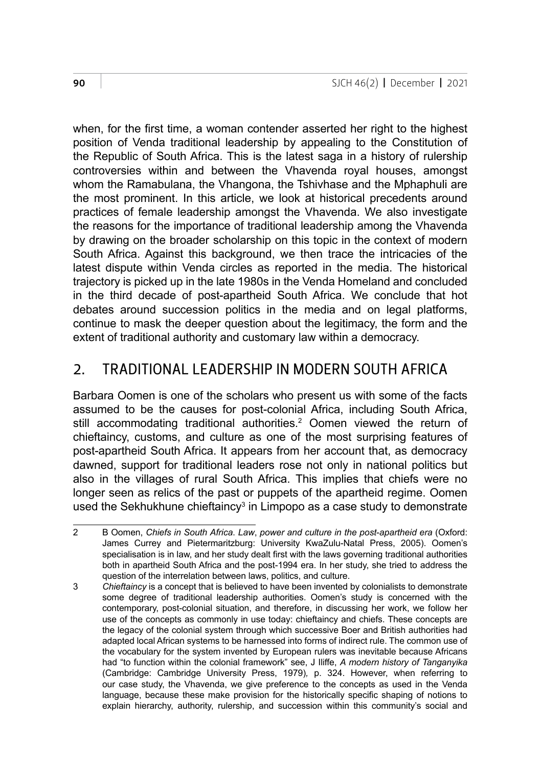when, for the first time, a woman contender asserted her right to the highest position of Venda traditional leadership by appealing to the Constitution of the Republic of South Africa. This is the latest saga in a history of rulership controversies within and between the Vhavenda royal houses, amongst whom the Ramabulana, the Vhangona, the Tshivhase and the Mphaphuli are the most prominent. In this article, we look at historical precedents around practices of female leadership amongst the Vhavenda. We also investigate the reasons for the importance of traditional leadership among the Vhavenda by drawing on the broader scholarship on this topic in the context of modern South Africa. Against this background, we then trace the intricacies of the latest dispute within Venda circles as reported in the media. The historical trajectory is picked up in the late 1980s in the Venda Homeland and concluded in the third decade of post-apartheid South Africa. We conclude that hot debates around succession politics in the media and on legal platforms, continue to mask the deeper question about the legitimacy, the form and the extent of traditional authority and customary law within a democracy.

### 2. TRADITIONAL LEADERSHIP IN MODERN SOUTH AFRICA

Barbara Oomen is one of the scholars who present us with some of the facts assumed to be the causes for post-colonial Africa, including South Africa, still accommodating traditional authorities.2 Oomen viewed the return of chieftaincy, customs, and culture as one of the most surprising features of post-apartheid South Africa. It appears from her account that, as democracy dawned, support for traditional leaders rose not only in national politics but also in the villages of rural South Africa. This implies that chiefs were no longer seen as relics of the past or puppets of the apartheid regime. Oomen used the Sekhukhune chieftaincy<sup>3</sup> in Limpopo as a case study to demonstrate

<sup>2</sup> B Oomen, *Chiefs in South Africa*. *Law*, *power and culture in the post*-*apartheid era* (Oxford: James Currey and Pietermaritzburg: University KwaZulu-Natal Press, 2005). Oomen's specialisation is in law, and her study dealt first with the laws governing traditional authorities both in apartheid South Africa and the post-1994 era. In her study, she tried to address the question of the interrelation between laws, politics, and culture.

<sup>3</sup> *Chieftaincy* is a concept that is believed to have been invented by colonialists to demonstrate some degree of traditional leadership authorities. Oomen's study is concerned with the contemporary, post-colonial situation, and therefore, in discussing her work, we follow her use of the concepts as commonly in use today: chieftaincy and chiefs. These concepts are the legacy of the colonial system through which successive Boer and British authorities had adapted local African systems to be harnessed into forms of indirect rule. The common use of the vocabulary for the system invented by European rulers was inevitable because Africans had "to function within the colonial framework" see, J Iliffe, *A modern history of Tanganyika*  (Cambridge: Cambridge University Press, 1979)*,* p. 324. However, when referring to our case study, the Vhavenda, we give preference to the concepts as used in the Venda language, because these make provision for the historically specific shaping of notions to explain hierarchy, authority, rulership, and succession within this community's social and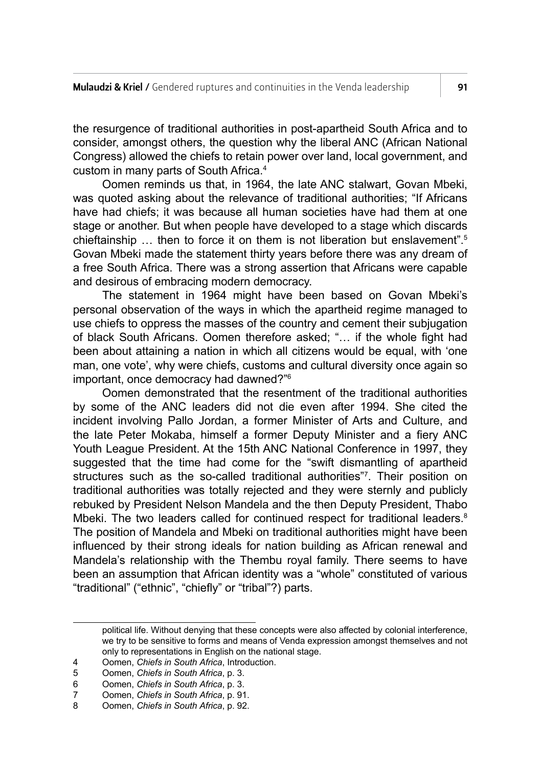the resurgence of traditional authorities in post-apartheid South Africa and to consider, amongst others, the question why the liberal ANC (African National Congress) allowed the chiefs to retain power over land, local government, and custom in many parts of South Africa.4

Oomen reminds us that, in 1964, the late ANC stalwart, Govan Mbeki, was quoted asking about the relevance of traditional authorities; "If Africans have had chiefs; it was because all human societies have had them at one stage or another. But when people have developed to a stage which discards chieftainship … then to force it on them is not liberation but enslavement".5 Govan Mbeki made the statement thirty years before there was any dream of a free South Africa. There was a strong assertion that Africans were capable and desirous of embracing modern democracy.

The statement in 1964 might have been based on Govan Mbeki's personal observation of the ways in which the apartheid regime managed to use chiefs to oppress the masses of the country and cement their subjugation of black South Africans. Oomen therefore asked; "… if the whole fight had been about attaining a nation in which all citizens would be equal, with 'one man, one vote', why were chiefs, customs and cultural diversity once again so important, once democracy had dawned?"6

Oomen demonstrated that the resentment of the traditional authorities by some of the ANC leaders did not die even after 1994. She cited the incident involving Pallo Jordan, a former Minister of Arts and Culture, and the late Peter Mokaba, himself a former Deputy Minister and a fiery ANC Youth League President. At the 15th ANC National Conference in 1997, they suggested that the time had come for the "swift dismantling of apartheid structures such as the so-called traditional authorities"7 . Their position on traditional authorities was totally rejected and they were sternly and publicly rebuked by President Nelson Mandela and the then Deputy President, Thabo Mbeki. The two leaders called for continued respect for traditional leaders.<sup>8</sup> The position of Mandela and Mbeki on traditional authorities might have been influenced by their strong ideals for nation building as African renewal and Mandela's relationship with the Thembu royal family. There seems to have been an assumption that African identity was a "whole" constituted of various "traditional" ("ethnic", "chiefly" or "tribal"?) parts.

political life. Without denying that these concepts were also affected by colonial interference, we try to be sensitive to forms and means of Venda expression amongst themselves and not only to representations in English on the national stage.

<sup>4</sup> Oomen, *Chiefs in South Africa*, Introduction.

<sup>5</sup> Oomen, *Chiefs in South Africa*, p. 3.

<sup>6</sup> Oomen, *Chiefs in South Africa*, p. 3.

<sup>7</sup> Oomen, *Chiefs in South Africa*, p. 91.

<sup>8</sup> Oomen, *Chiefs in South Africa*, p. 92.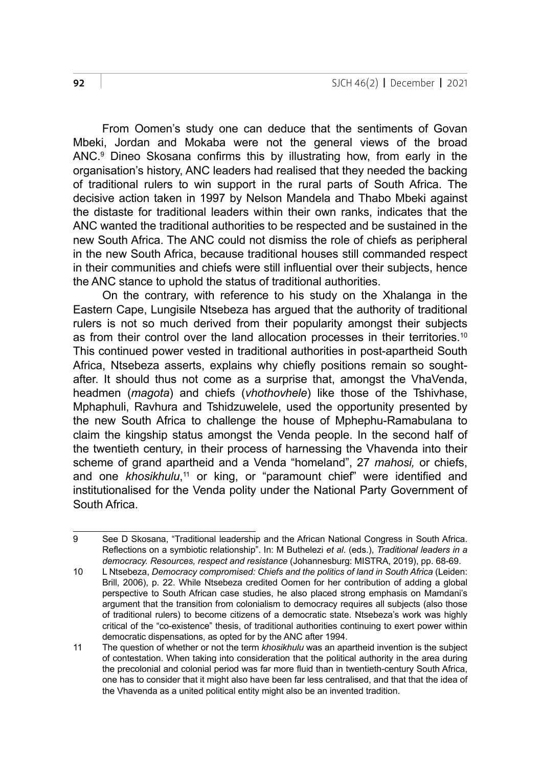From Oomen's study one can deduce that the sentiments of Govan Mbeki, Jordan and Mokaba were not the general views of the broad ANC.9 Dineo Skosana confirms this by illustrating how, from early in the organisation's history, ANC leaders had realised that they needed the backing of traditional rulers to win support in the rural parts of South Africa. The decisive action taken in 1997 by Nelson Mandela and Thabo Mbeki against the distaste for traditional leaders within their own ranks, indicates that the ANC wanted the traditional authorities to be respected and be sustained in the new South Africa. The ANC could not dismiss the role of chiefs as peripheral in the new South Africa, because traditional houses still commanded respect in their communities and chiefs were still influential over their subjects, hence the ANC stance to uphold the status of traditional authorities.

On the contrary, with reference to his study on the Xhalanga in the Eastern Cape, Lungisile Ntsebeza has argued that the authority of traditional rulers is not so much derived from their popularity amongst their subjects as from their control over the land allocation processes in their territories.<sup>10</sup> This continued power vested in traditional authorities in post-apartheid South Africa, Ntsebeza asserts, explains why chiefly positions remain so soughtafter. It should thus not come as a surprise that, amongst the VhaVenda, headmen (*magota*) and chiefs (*vhothovhele*) like those of the Tshivhase, Mphaphuli, Ravhura and Tshidzuwelele, used the opportunity presented by the new South Africa to challenge the house of Mphephu-Ramabulana to claim the kingship status amongst the Venda people. In the second half of the twentieth century, in their process of harnessing the Vhavenda into their scheme of grand apartheid and a Venda "homeland", 27 *mahosi,* or chiefs, and one *khosikhulu*,<sup>11</sup> or king, or "paramount chief" were identified and institutionalised for the Venda polity under the National Party Government of South Africa.

<sup>9</sup> See D Skosana, "Traditional leadership and the African National Congress in South Africa. Reflections on a symbiotic relationship". In: M Buthelezi *et al*. (eds.), *Traditional leaders in a democracy. Resources, respect and resistance* (Johannesburg: MISTRA, 2019), pp. 68-69.

<sup>10</sup> L Ntsebeza, *Democracy compromised: Chiefs and the politics of land in South Africa* (Leiden: Brill, 2006), p. 22. While Ntsebeza credited Oomen for her contribution of adding a global perspective to South African case studies, he also placed strong emphasis on Mamdani's argument that the transition from colonialism to democracy requires all subjects (also those of traditional rulers) to become citizens of a democratic state. Ntsebeza's work was highly critical of the "co-existence" thesis, of traditional authorities continuing to exert power within democratic dispensations, as opted for by the ANC after 1994.

<sup>11</sup> The question of whether or not the term *khosikhulu* was an apartheid invention is the subject of contestation. When taking into consideration that the political authority in the area during the precolonial and colonial period was far more fluid than in twentieth-century South Africa, one has to consider that it might also have been far less centralised, and that that the idea of the Vhavenda as a united political entity might also be an invented tradition.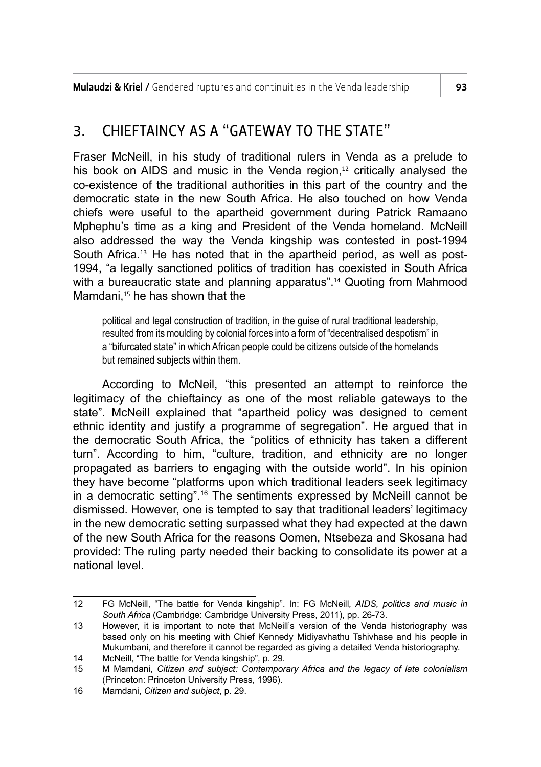**Mulaudzi & Kriel /** Gendered ruptures and continuities in the Venda leadership  $\overline{\phantom{a}}$  93

### 3. CHIEFTAINCY AS A "GATEWAY TO THE STATE"

Fraser McNeill, in his study of traditional rulers in Venda as a prelude to his book on AIDS and music in the Venda region.<sup>12</sup> critically analysed the co-existence of the traditional authorities in this part of the country and the democratic state in the new South Africa. He also touched on how Venda chiefs were useful to the apartheid government during Patrick Ramaano Mphephu's time as a king and President of the Venda homeland. McNeill also addressed the way the Venda kingship was contested in post-1994 South Africa.13 He has noted that in the apartheid period, as well as post-1994, "a legally sanctioned politics of tradition has coexisted in South Africa with a bureaucratic state and planning apparatus".<sup>14</sup> Quoting from Mahmood Mamdani,<sup>15</sup> he has shown that the

political and legal construction of tradition, in the guise of rural traditional leadership, resulted from its moulding by colonial forces into a form of "decentralised despotism" in a "bifurcated state" in which African people could be citizens outside of the homelands but remained subjects within them.

According to McNeil, "this presented an attempt to reinforce the legitimacy of the chieftaincy as one of the most reliable gateways to the state". McNeill explained that "apartheid policy was designed to cement ethnic identity and justify a programme of segregation". He argued that in the democratic South Africa, the "politics of ethnicity has taken a different turn". According to him, "culture, tradition, and ethnicity are no longer propagated as barriers to engaging with the outside world". In his opinion they have become "platforms upon which traditional leaders seek legitimacy in a democratic setting".16 The sentiments expressed by McNeill cannot be dismissed. However, one is tempted to say that traditional leaders' legitimacy in the new democratic setting surpassed what they had expected at the dawn of the new South Africa for the reasons Oomen, Ntsebeza and Skosana had provided: The ruling party needed their backing to consolidate its power at a national level.

<sup>12</sup> FG McNeill, "The battle for Venda kingship". In: FG McNeill*, AIDS, politics and music in South Africa* (Cambridge: Cambridge University Press, 2011), pp. 26-73.

<sup>13</sup> However, it is important to note that McNeill's version of the Venda historiography was based only on his meeting with Chief Kennedy Midiyavhathu Tshivhase and his people in Mukumbani, and therefore it cannot be regarded as giving a detailed Venda historiography.

<sup>14</sup> McNeill, "The battle for Venda kingship"*,* p. 29.

<sup>15</sup> M Mamdani, *Citizen and subject: Contemporary Africa and the legacy of late colonialism*  (Princeton: Princeton University Press, 1996).

<sup>16</sup> Mamdani, *Citizen and subject*, p. 29.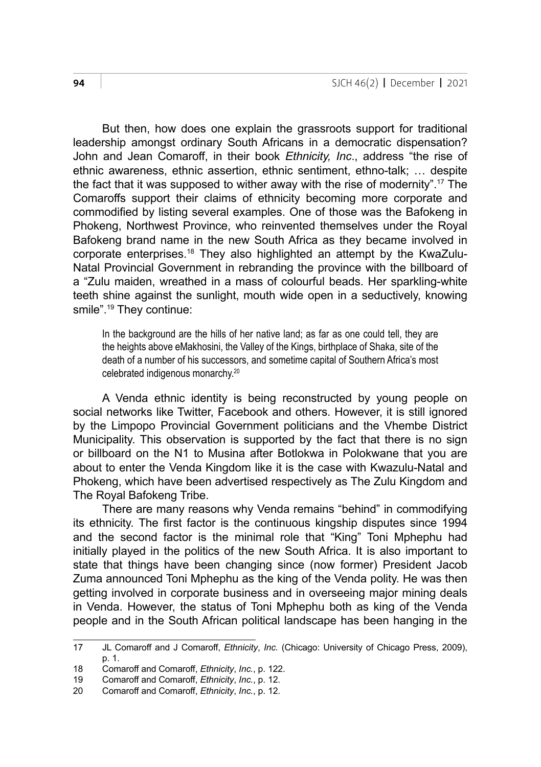But then, how does one explain the grassroots support for traditional leadership amongst ordinary South Africans in a democratic dispensation? John and Jean Comaroff, in their book *Ethnicity, Inc*., address "the rise of ethnic awareness, ethnic assertion, ethnic sentiment, ethno-talk; … despite the fact that it was supposed to wither away with the rise of modernity".17 The Comaroffs support their claims of ethnicity becoming more corporate and commodified by listing several examples. One of those was the Bafokeng in Phokeng, Northwest Province, who reinvented themselves under the Royal Bafokeng brand name in the new South Africa as they became involved in corporate enterprises.18 They also highlighted an attempt by the KwaZulu-Natal Provincial Government in rebranding the province with the billboard of a "Zulu maiden, wreathed in a mass of colourful beads. Her sparkling-white teeth shine against the sunlight, mouth wide open in a seductively, knowing smile".19 They continue:

In the background are the hills of her native land; as far as one could tell, they are the heights above eMakhosini, the Valley of the Kings, birthplace of Shaka, site of the death of a number of his successors, and sometime capital of Southern Africa's most celebrated indigenous monarchy.20

A Venda ethnic identity is being reconstructed by young people on social networks like Twitter, Facebook and others. However, it is still ignored by the Limpopo Provincial Government politicians and the Vhembe District Municipality. This observation is supported by the fact that there is no sign or billboard on the N1 to Musina after Botlokwa in Polokwane that you are about to enter the Venda Kingdom like it is the case with Kwazulu-Natal and Phokeng, which have been advertised respectively as The Zulu Kingdom and The Royal Bafokeng Tribe.

There are many reasons why Venda remains "behind" in commodifying its ethnicity. The first factor is the continuous kingship disputes since 1994 and the second factor is the minimal role that "King" Toni Mphephu had initially played in the politics of the new South Africa. It is also important to state that things have been changing since (now former) President Jacob Zuma announced Toni Mphephu as the king of the Venda polity. He was then getting involved in corporate business and in overseeing major mining deals in Venda. However, the status of Toni Mphephu both as king of the Venda people and in the South African political landscape has been hanging in the

<sup>17</sup> JL Comaroff and J Comaroff, *Ethnicity*, *Inc.* (Chicago: University of Chicago Press, 2009), p. 1.

<sup>18</sup> Comaroff and Comaroff, *Ethnicity*, *Inc.*, p. 122.

<sup>19</sup> Comaroff and Comaroff, *Ethnicity*, *Inc.*, p. 12.

<sup>20</sup> Comaroff and Comaroff, *Ethnicity*, *Inc.*, p. 12.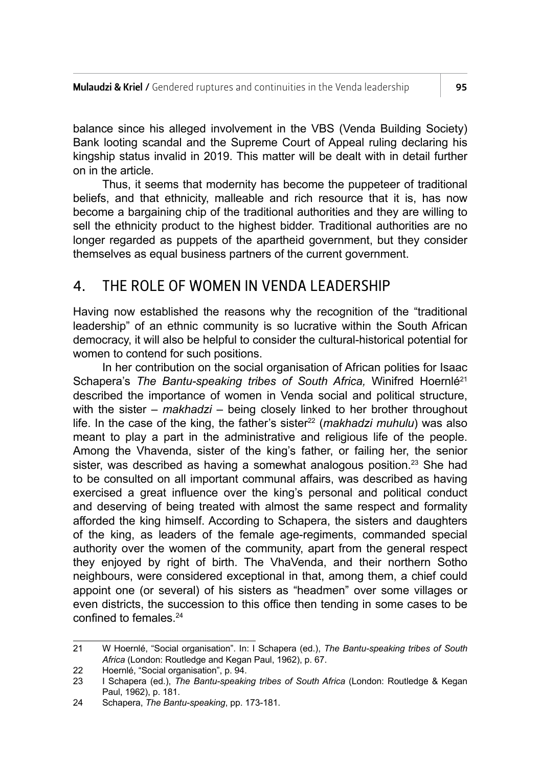balance since his alleged involvement in the VBS (Venda Building Society) Bank looting scandal and the Supreme Court of Appeal ruling declaring his kingship status invalid in 2019. This matter will be dealt with in detail further on in the article.

Thus, it seems that modernity has become the puppeteer of traditional beliefs, and that ethnicity, malleable and rich resource that it is, has now become a bargaining chip of the traditional authorities and they are willing to sell the ethnicity product to the highest bidder. Traditional authorities are no longer regarded as puppets of the apartheid government, but they consider themselves as equal business partners of the current government.

#### 4. THE ROLE OF WOMEN IN VENDA LEADERSHIP

Having now established the reasons why the recognition of the "traditional leadership" of an ethnic community is so lucrative within the South African democracy, it will also be helpful to consider the cultural-historical potential for women to contend for such positions.

In her contribution on the social organisation of African polities for Isaac Schapera's *The Bantu-speaking tribes of South Africa*, Winifred Hoernlé<sup>21</sup> described the importance of women in Venda social and political structure, with the sister – *makhadzi –* being closely linked to her brother throughout life. In the case of the king, the father's sister<sup>22</sup> (*makhadzi muhulu*) was also meant to play a part in the administrative and religious life of the people. Among the Vhavenda, sister of the king's father, or failing her, the senior sister, was described as having a somewhat analogous position.<sup>23</sup> She had to be consulted on all important communal affairs, was described as having exercised a great influence over the king's personal and political conduct and deserving of being treated with almost the same respect and formality afforded the king himself. According to Schapera, the sisters and daughters of the king, as leaders of the female age-regiments, commanded special authority over the women of the community, apart from the general respect they enjoyed by right of birth. The VhaVenda, and their northern Sotho neighbours, were considered exceptional in that, among them, a chief could appoint one (or several) of his sisters as "headmen" over some villages or even districts, the succession to this office then tending in some cases to be confined to females  $24$ 

<sup>21</sup> W Hoernlé, "Social organisation". In: I Schapera (ed.), *The Bantu-speaking tribes of South Africa* (London: Routledge and Kegan Paul, 1962), p. 67.

<sup>22</sup> Hoernlé, "Social organisation", p. 94.<br>23 LSchapera (ed.), The Bantu-speaki

<sup>23</sup> I Schapera (ed.), *The Bantu-speaking tribes of South Africa* (London: Routledge & Kegan Paul, 1962), p. 181.

<sup>24</sup> Schapera, *The Bantu-speaking*, pp. 173-181.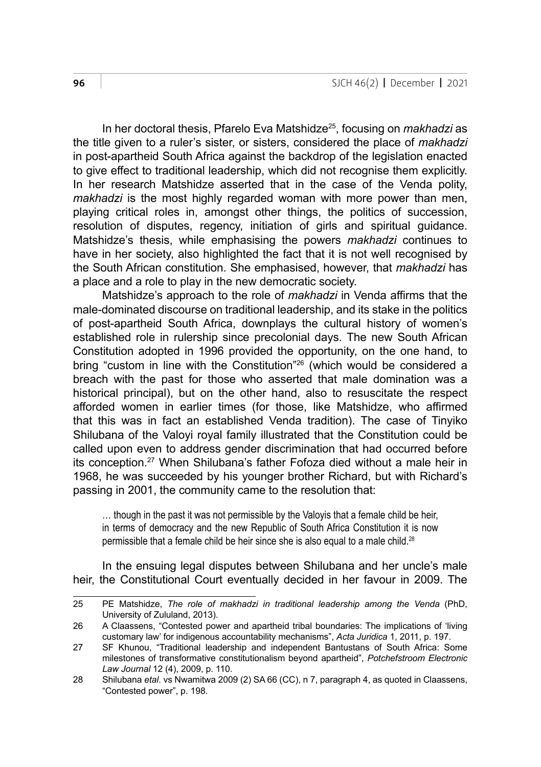In her doctoral thesis, Pfarelo Eva Matshidze25, focusing on *makhadzi* as the title given to a ruler's sister, or sisters, considered the place of *makhadzi* in post-apartheid South Africa against the backdrop of the legislation enacted to give effect to traditional leadership, which did not recognise them explicitly. In her research Matshidze asserted that in the case of the Venda polity, *makhadzi* is the most highly regarded woman with more power than men, playing critical roles in, amongst other things, the politics of succession, resolution of disputes, regency, initiation of girls and spiritual guidance. Matshidze's thesis, while emphasising the powers *makhadzi* continues to have in her society, also highlighted the fact that it is not well recognised by the South African constitution. She emphasised, however, that *makhadzi* has a place and a role to play in the new democratic society.

Matshidze's approach to the role of *makhadzi* in Venda affirms that the male-dominated discourse on traditional leadership, and its stake in the politics of post-apartheid South Africa, downplays the cultural history of women's established role in rulership since precolonial days. The new South African Constitution adopted in 1996 provided the opportunity, on the one hand, to bring "custom in line with the Constitution"<sup>26</sup> (which would be considered a breach with the past for those who asserted that male domination was a historical principal), but on the other hand, also to resuscitate the respect afforded women in earlier times (for those, like Matshidze, who affirmed that this was in fact an established Venda tradition). The case of Tinyiko Shilubana of the Valoyi royal family illustrated that the Constitution could be called upon even to address gender discrimination that had occurred before its conception.27 When Shilubana's father Fofoza died without a male heir in 1968, he was succeeded by his younger brother Richard, but with Richard's passing in 2001, the community came to the resolution that:

… though in the past it was not permissible by the Valoyis that a female child be heir, in terms of democracy and the new Republic of South Africa Constitution it is now permissible that a female child be heir since she is also equal to a male child.<sup>28</sup>

In the ensuing legal disputes between Shilubana and her uncle's male heir, the Constitutional Court eventually decided in her favour in 2009. The

<sup>25</sup> PE Matshidze, *The role of makhadzi in traditional leadership among the Venda* (PhD, University of Zululand, 2013).

<sup>26</sup> A Claassens, "Contested power and apartheid tribal boundaries: The implications of 'living customary law' for indigenous accountability mechanisms", *Acta Juridica* 1, 2011, p. 197.

<sup>27</sup> SF Khunou, "Traditional leadership and independent Bantustans of South Africa: Some milestones of transformative constitutionalism beyond apartheid", *Potchefstroom Electronic Law Journal* 12 (4), 2009, p. 110.

<sup>28</sup> Shilubana *etal*. vs Nwamitwa 2009 (2) SA 66 (CC), n 7, paragraph 4, as quoted in Claassens, "Contested power", p. 198.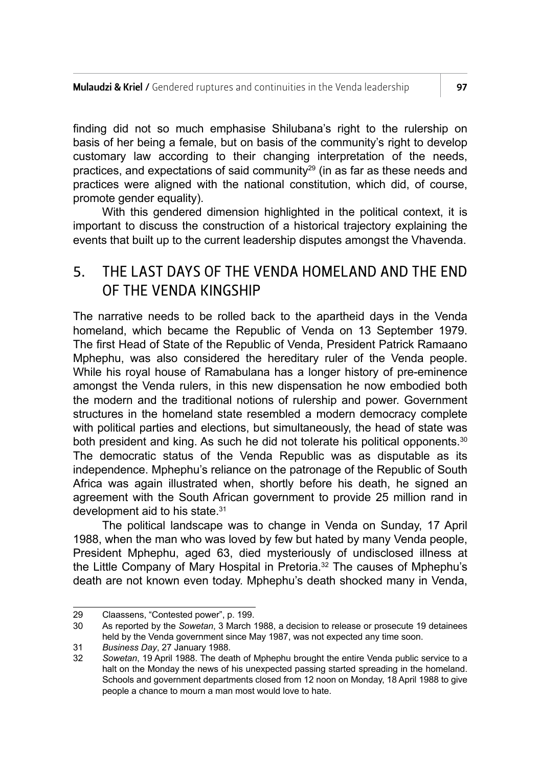finding did not so much emphasise Shilubana's right to the rulership on basis of her being a female, but on basis of the community's right to develop customary law according to their changing interpretation of the needs, practices, and expectations of said community $^{29}$  (in as far as these needs and practices were aligned with the national constitution, which did, of course, promote gender equality).

With this gendered dimension highlighted in the political context, it is important to discuss the construction of a historical trajectory explaining the events that built up to the current leadership disputes amongst the Vhavenda.

#### 5. THE LAST DAYS OF THE VENDA HOMELAND AND THE END OF THE VENDA KINGSHIP

The narrative needs to be rolled back to the apartheid days in the Venda homeland, which became the Republic of Venda on 13 September 1979. The first Head of State of the Republic of Venda, President Patrick Ramaano Mphephu, was also considered the hereditary ruler of the Venda people. While his royal house of Ramabulana has a longer history of pre-eminence amongst the Venda rulers, in this new dispensation he now embodied both the modern and the traditional notions of rulership and power. Government structures in the homeland state resembled a modern democracy complete with political parties and elections, but simultaneously, the head of state was both president and king. As such he did not tolerate his political opponents.<sup>30</sup> The democratic status of the Venda Republic was as disputable as its independence. Mphephu's reliance on the patronage of the Republic of South Africa was again illustrated when, shortly before his death, he signed an agreement with the South African government to provide 25 million rand in development aid to his state.<sup>31</sup>

The political landscape was to change in Venda on Sunday, 17 April 1988, when the man who was loved by few but hated by many Venda people, President Mphephu, aged 63, died mysteriously of undisclosed illness at the Little Company of Mary Hospital in Pretoria.32 The causes of Mphephu's death are not known even today. Mphephu's death shocked many in Venda,

<sup>29</sup> Claassens, "Contested power", p. 199.<br>30 As reported by the Sowetan. 3 March 1

<sup>30</sup> As reported by the *Sowetan*, 3 March 1988, a decision to release or prosecute 19 detainees held by the Venda government since May 1987, was not expected any time soon.

<sup>31</sup> *Business Day*, 27 January 1988.

<sup>32</sup> *Sowetan*, 19 April 1988. The death of Mphephu brought the entire Venda public service to a halt on the Monday the news of his unexpected passing started spreading in the homeland. Schools and government departments closed from 12 noon on Monday, 18 April 1988 to give people a chance to mourn a man most would love to hate.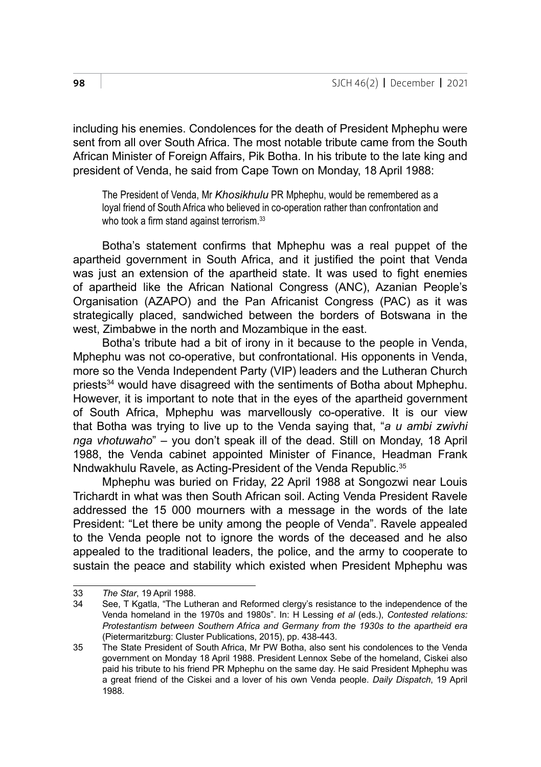including his enemies. Condolences for the death of President Mphephu were sent from all over South Africa. The most notable tribute came from the South African Minister of Foreign Affairs, Pik Botha. In his tribute to the late king and president of Venda, he said from Cape Town on Monday, 18 April 1988:

The President of Venda, Mr *Khosikhulu* PR Mphephu, would be remembered as a loyal friend of South Africa who believed in co-operation rather than confrontation and who took a firm stand against terrorism.<sup>33</sup>

Botha's statement confirms that Mphephu was a real puppet of the apartheid government in South Africa, and it justified the point that Venda was just an extension of the apartheid state. It was used to fight enemies of apartheid like the African National Congress (ANC), Azanian People's Organisation (AZAPO) and the Pan Africanist Congress (PAC) as it was strategically placed, sandwiched between the borders of Botswana in the west, Zimbabwe in the north and Mozambique in the east.

Botha's tribute had a bit of irony in it because to the people in Venda, Mphephu was not co-operative, but confrontational. His opponents in Venda, more so the Venda Independent Party (VIP) leaders and the Lutheran Church priests34 would have disagreed with the sentiments of Botha about Mphephu. However, it is important to note that in the eyes of the apartheid government of South Africa, Mphephu was marvellously co-operative. It is our view that Botha was trying to live up to the Venda saying that, "*a u ambi zwivhi nga vhotuwaho*" – you don't speak ill of the dead. Still on Monday, 18 April 1988, the Venda cabinet appointed Minister of Finance, Headman Frank Nndwakhulu Ravele, as Acting-President of the Venda Republic.<sup>35</sup>

Mphephu was buried on Friday, 22 April 1988 at Songozwi near Louis Trichardt in what was then South African soil. Acting Venda President Ravele addressed the 15 000 mourners with a message in the words of the late President: "Let there be unity among the people of Venda". Ravele appealed to the Venda people not to ignore the words of the deceased and he also appealed to the traditional leaders, the police, and the army to cooperate to sustain the peace and stability which existed when President Mphephu was

<sup>33</sup> *The Star*, 19 April 1988.

See, T Kgatla, "The Lutheran and Reformed clergy's resistance to the independence of the Venda homeland in the 1970s and 1980s". In: H Lessing *et al* (eds.), *Contested relations: Protestantism between Southern Africa and Germany from the 1930s to the apartheid era*  (Pietermaritzburg: Cluster Publications, 2015), pp. 438-443.

<sup>35</sup> The State President of South Africa, Mr PW Botha, also sent his condolences to the Venda government on Monday 18 April 1988. President Lennox Sebe of the homeland, Ciskei also paid his tribute to his friend PR Mphephu on the same day. He said President Mphephu was a great friend of the Ciskei and a lover of his own Venda people. *Daily Dispatch*, 19 April 1988*.*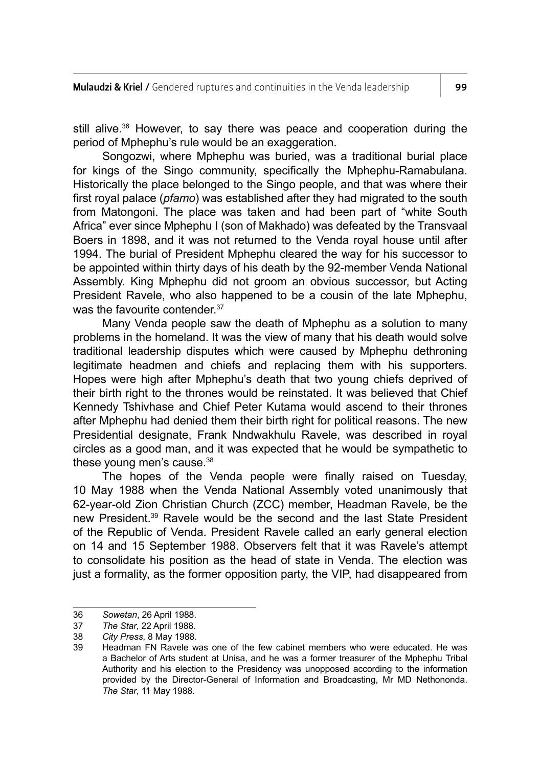still alive.36 However, to say there was peace and cooperation during the period of Mphephu's rule would be an exaggeration.

Songozwi, where Mphephu was buried, was a traditional burial place for kings of the Singo community, specifically the Mphephu-Ramabulana. Historically the place belonged to the Singo people, and that was where their first royal palace (*pfamo*) was established after they had migrated to the south from Matongoni. The place was taken and had been part of "white South Africa" ever since Mphephu I (son of Makhado) was defeated by the Transvaal Boers in 1898, and it was not returned to the Venda royal house until after 1994. The burial of President Mphephu cleared the way for his successor to be appointed within thirty days of his death by the 92-member Venda National Assembly. King Mphephu did not groom an obvious successor, but Acting President Ravele, who also happened to be a cousin of the late Mphephu, was the favourite contender.<sup>37</sup>

Many Venda people saw the death of Mphephu as a solution to many problems in the homeland. It was the view of many that his death would solve traditional leadership disputes which were caused by Mphephu dethroning legitimate headmen and chiefs and replacing them with his supporters. Hopes were high after Mphephu's death that two young chiefs deprived of their birth right to the thrones would be reinstated. It was believed that Chief Kennedy Tshivhase and Chief Peter Kutama would ascend to their thrones after Mphephu had denied them their birth right for political reasons. The new Presidential designate, Frank Nndwakhulu Ravele, was described in royal circles as a good man, and it was expected that he would be sympathetic to these young men's cause.<sup>38</sup>

The hopes of the Venda people were finally raised on Tuesday, 10 May 1988 when the Venda National Assembly voted unanimously that 62-year-old Zion Christian Church (ZCC) member, Headman Ravele, be the new President.39 Ravele would be the second and the last State President of the Republic of Venda. President Ravele called an early general election on 14 and 15 September 1988. Observers felt that it was Ravele's attempt to consolidate his position as the head of state in Venda. The election was just a formality, as the former opposition party, the VIP, had disappeared from

<sup>36</sup> *Sowetan*, 26 April 1988.

<sup>37</sup> *The Star*, 22 April 1988.

<sup>38</sup> *City Press*, 8 May 1988.

<sup>39</sup> Headman FN Ravele was one of the few cabinet members who were educated. He was a Bachelor of Arts student at Unisa, and he was a former treasurer of the Mphephu Tribal Authority and his election to the Presidency was unopposed according to the information provided by the Director-General of Information and Broadcasting, Mr MD Nethononda. *The Star*, 11 May 1988.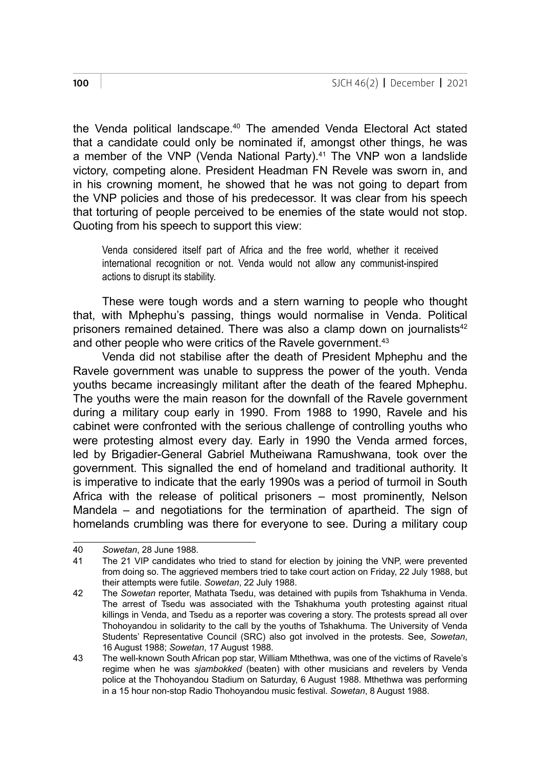the Venda political landscape.<sup>40</sup> The amended Venda Electoral Act stated that a candidate could only be nominated if, amongst other things, he was a member of the VNP (Venda National Party).<sup>41</sup> The VNP won a landslide victory, competing alone. President Headman FN Revele was sworn in, and in his crowning moment, he showed that he was not going to depart from the VNP policies and those of his predecessor. It was clear from his speech that torturing of people perceived to be enemies of the state would not stop. Quoting from his speech to support this view:

Venda considered itself part of Africa and the free world, whether it received international recognition or not. Venda would not allow any communist-inspired actions to disrupt its stability.

These were tough words and a stern warning to people who thought that, with Mphephu's passing, things would normalise in Venda. Political prisoners remained detained. There was also a clamp down on journalists<sup>42</sup> and other people who were critics of the Ravele government.<sup>43</sup>

Venda did not stabilise after the death of President Mphephu and the Ravele government was unable to suppress the power of the youth. Venda youths became increasingly militant after the death of the feared Mphephu. The youths were the main reason for the downfall of the Ravele government during a military coup early in 1990. From 1988 to 1990, Ravele and his cabinet were confronted with the serious challenge of controlling youths who were protesting almost every day. Early in 1990 the Venda armed forces, led by Brigadier-General Gabriel Mutheiwana Ramushwana, took over the government. This signalled the end of homeland and traditional authority. It is imperative to indicate that the early 1990s was a period of turmoil in South Africa with the release of political prisoners – most prominently, Nelson Mandela – and negotiations for the termination of apartheid. The sign of homelands crumbling was there for everyone to see. During a military coup

<sup>40</sup> *Sowetan*, 28 June 1988.

The 21 VIP candidates who tried to stand for election by joining the VNP, were prevented from doing so. The aggrieved members tried to take court action on Friday, 22 July 1988, but their attempts were futile. *Sowetan*, 22 July 1988.

<sup>42</sup> The *Sowetan* reporter, Mathata Tsedu, was detained with pupils from Tshakhuma in Venda. The arrest of Tsedu was associated with the Tshakhuma youth protesting against ritual killings in Venda, and Tsedu as a reporter was covering a story. The protests spread all over Thohoyandou in solidarity to the call by the youths of Tshakhuma. The University of Venda Students' Representative Council (SRC) also got involved in the protests. See, *Sowetan*, 16 August 1988; *Sowetan*, 17 August 1988.

<sup>43</sup> The well-known South African pop star, William Mthethwa, was one of the victims of Ravele's regime when he was *sjambokked* (beaten) with other musicians and revelers by Venda police at the Thohoyandou Stadium on Saturday, 6 August 1988. Mthethwa was performing in a 15 hour non-stop Radio Thohoyandou music festival. *Sowetan*, 8 August 1988.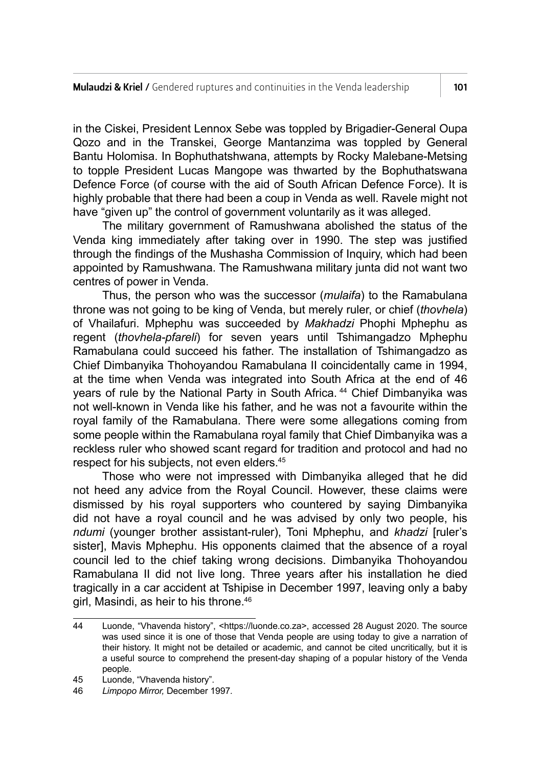in the Ciskei, President Lennox Sebe was toppled by Brigadier-General Oupa Qozo and in the Transkei, George Mantanzima was toppled by General Bantu Holomisa. In Bophuthatshwana, attempts by Rocky Malebane-Metsing to topple President Lucas Mangope was thwarted by the Bophuthatswana Defence Force (of course with the aid of South African Defence Force). It is highly probable that there had been a coup in Venda as well. Ravele might not have "given up" the control of government voluntarily as it was alleged.

The military government of Ramushwana abolished the status of the Venda king immediately after taking over in 1990. The step was justified through the findings of the Mushasha Commission of Inquiry, which had been appointed by Ramushwana. The Ramushwana military junta did not want two centres of power in Venda.

Thus, the person who was the successor (*mulaifa*) to the Ramabulana throne was not going to be king of Venda, but merely ruler, or chief (*thovhela*) of Vhailafuri. Mphephu was succeeded by *Makhadzi* Phophi Mphephu as regent (*thovhela-pfareli*) for seven years until Tshimangadzo Mphephu Ramabulana could succeed his father. The installation of Tshimangadzo as Chief Dimbanyika Thohoyandou Ramabulana II coincidentally came in 1994, at the time when Venda was integrated into South Africa at the end of 46 years of rule by the National Party in South Africa.<sup>44</sup> Chief Dimbanyika was not well-known in Venda like his father, and he was not a favourite within the royal family of the Ramabulana. There were some allegations coming from some people within the Ramabulana royal family that Chief Dimbanyika was a reckless ruler who showed scant regard for tradition and protocol and had no respect for his subjects, not even elders.<sup>45</sup>

Those who were not impressed with Dimbanyika alleged that he did not heed any advice from the Royal Council. However, these claims were dismissed by his royal supporters who countered by saying Dimbanyika did not have a royal council and he was advised by only two people, his *ndumi* (younger brother assistant-ruler), Toni Mphephu, and *khadzi* [ruler's sister], Mavis Mphephu. His opponents claimed that the absence of a royal council led to the chief taking wrong decisions. Dimbanyika Thohoyandou Ramabulana II did not live long. Three years after his installation he died tragically in a car accident at Tshipise in December 1997, leaving only a baby girl, Masindi, as heir to his throne.46

<sup>44</sup> Luonde, "Vhavenda history", <https://luonde.co.za>, accessed 28 August 2020. The source was used since it is one of those that Venda people are using today to give a narration of their history. It might not be detailed or academic, and cannot be cited uncritically, but it is a useful source to comprehend the present-day shaping of a popular history of the Venda people.

<sup>45</sup> Luonde, "Vhavenda history".<br>46 *Limpono Mirror* December 1

<sup>46</sup> *Limpopo Mirror,* December 1997*.*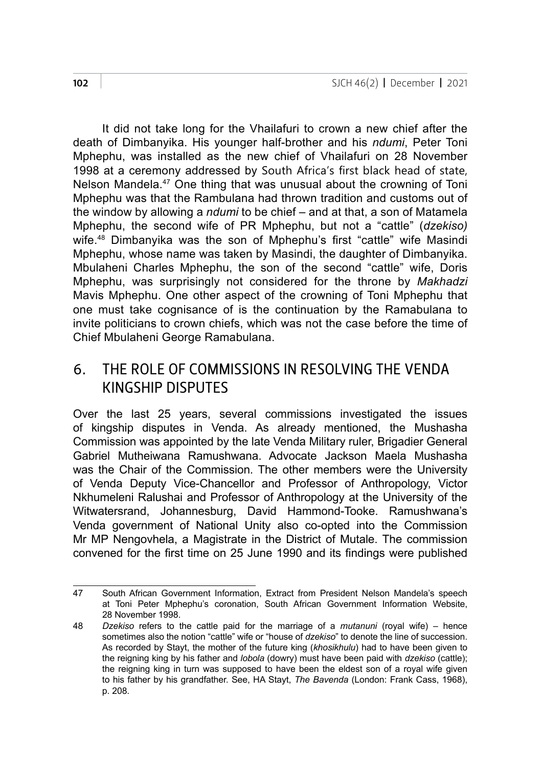It did not take long for the Vhailafuri to crown a new chief after the death of Dimbanyika. His younger half-brother and his *ndumi*, Peter Toni Mphephu, was installed as the new chief of Vhailafuri on 28 November 1998 at a ceremony addressed by South Africa's first black head of state, Nelson Mandela.<sup>47</sup> One thing that was unusual about the crowning of Toni Mphephu was that the Rambulana had thrown tradition and customs out of the window by allowing a *ndumi* to be chief – and at that, a son of Matamela Mphephu, the second wife of PR Mphephu, but not a "cattle" (*dzekiso)*  wife.48 Dimbanyika was the son of Mphephu's first "cattle" wife Masindi Mphephu, whose name was taken by Masindi, the daughter of Dimbanyika. Mbulaheni Charles Mphephu, the son of the second "cattle" wife, Doris Mphephu, was surprisingly not considered for the throne by *Makhadzi* Mavis Mphephu. One other aspect of the crowning of Toni Mphephu that one must take cognisance of is the continuation by the Ramabulana to invite politicians to crown chiefs, which was not the case before the time of Chief Mbulaheni George Ramabulana.

#### 6. THE ROLE OF COMMISSIONS IN RESOLVING THE VENDA KINGSHIP DISPUTES

Over the last 25 years, several commissions investigated the issues of kingship disputes in Venda. As already mentioned, the Mushasha Commission was appointed by the late Venda Military ruler, Brigadier General Gabriel Mutheiwana Ramushwana. Advocate Jackson Maela Mushasha was the Chair of the Commission. The other members were the University of Venda Deputy Vice-Chancellor and Professor of Anthropology, Victor Nkhumeleni Ralushai and Professor of Anthropology at the University of the Witwatersrand, Johannesburg, David Hammond-Tooke. Ramushwana's Venda government of National Unity also co-opted into the Commission Mr MP Nengovhela, a Magistrate in the District of Mutale. The commission convened for the first time on 25 June 1990 and its findings were published

<sup>47</sup> South African Government Information, Extract from President Nelson Mandela's speech at Toni Peter Mphephu's coronation, South African Government Information Website, 28 November 1998.

<sup>48</sup> *Dzekiso* refers to the cattle paid for the marriage of a *mutanuni* (royal wife) – hence sometimes also the notion "cattle" wife or "house of *dzekiso*" to denote the line of succession. As recorded by Stayt, the mother of the future king (*khosikhulu*) had to have been given to the reigning king by his father and *lobola* (dowry) must have been paid with *dzekiso* (cattle); the reigning king in turn was supposed to have been the eldest son of a royal wife given to his father by his grandfather. See, HA Stayt, *The Bavenda* (London: Frank Cass, 1968), p. 208.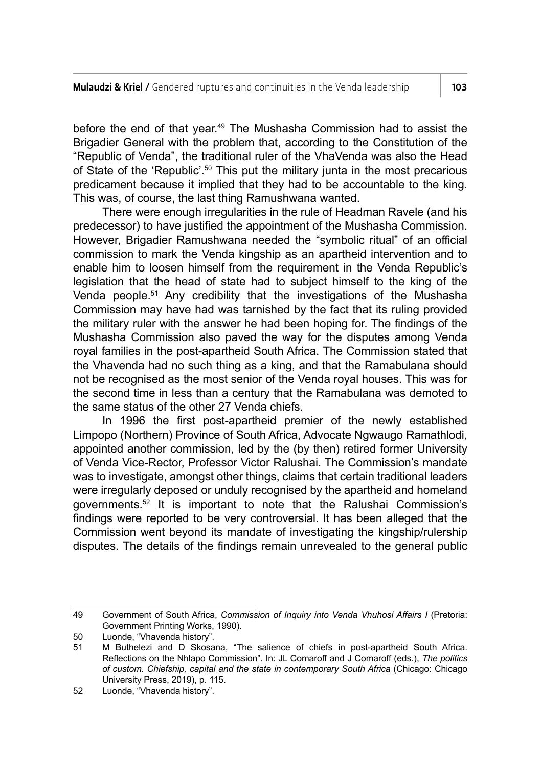before the end of that year.49 The Mushasha Commission had to assist the Brigadier General with the problem that, according to the Constitution of the "Republic of Venda", the traditional ruler of the VhaVenda was also the Head of State of the 'Republic'.<sup>50</sup> This put the military junta in the most precarious predicament because it implied that they had to be accountable to the king*.*  This was, of course, the last thing Ramushwana wanted.

There were enough irregularities in the rule of Headman Ravele (and his predecessor) to have justified the appointment of the Mushasha Commission. However, Brigadier Ramushwana needed the "symbolic ritual" of an official commission to mark the Venda kingship as an apartheid intervention and to enable him to loosen himself from the requirement in the Venda Republic's legislation that the head of state had to subject himself to the king of the Venda people.51 Any credibility that the investigations of the Mushasha Commission may have had was tarnished by the fact that its ruling provided the military ruler with the answer he had been hoping for. The findings of the Mushasha Commission also paved the way for the disputes among Venda royal families in the post-apartheid South Africa. The Commission stated that the Vhavenda had no such thing as a king, and that the Ramabulana should not be recognised as the most senior of the Venda royal houses. This was for the second time in less than a century that the Ramabulana was demoted to the same status of the other 27 Venda chiefs.

In 1996 the first post-apartheid premier of the newly established Limpopo (Northern) Province of South Africa, Advocate Ngwaugo Ramathlodi, appointed another commission, led by the (by then) retired former University of Venda Vice-Rector, Professor Victor Ralushai. The Commission's mandate was to investigate, amongst other things, claims that certain traditional leaders were irregularly deposed or unduly recognised by the apartheid and homeland governments.52 It is important to note that the Ralushai Commission's findings were reported to be very controversial. It has been alleged that the Commission went beyond its mandate of investigating the kingship/rulership disputes. The details of the findings remain unrevealed to the general public

<sup>49</sup> Government of South Africa, *Commission of Inquiry into Venda Vhuhosi Affairs I* (Pretoria: Government Printing Works, 1990).

<sup>50</sup> Luonde, "Vhavenda history".

<sup>51</sup> M Buthelezi and D Skosana, "The salience of chiefs in post-apartheid South Africa. Reflections on the Nhlapo Commission". In: JL Comaroff and J Comaroff (eds.), *The politics of custom. Chiefship, capital and the state in contemporary South Africa* (Chicago: Chicago University Press, 2019), p. 115.

<sup>52</sup> Luonde, "Vhavenda history".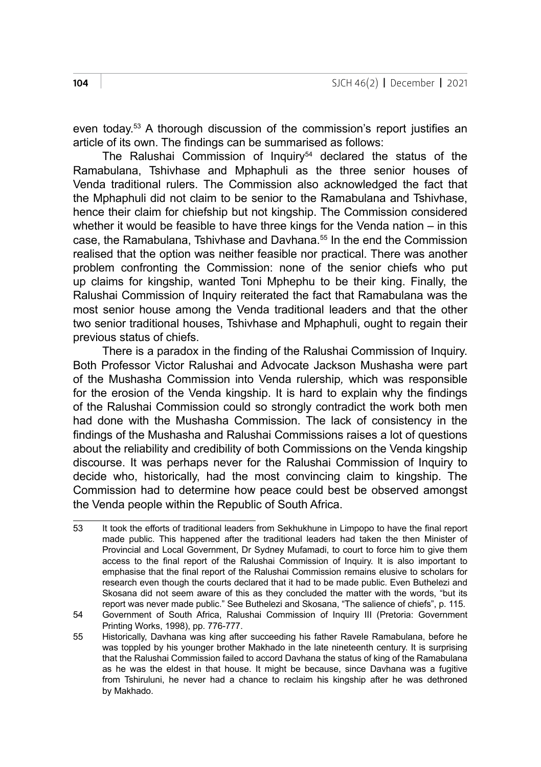even today.<sup>53</sup> A thorough discussion of the commission's report justifies an article of its own. The findings can be summarised as follows:

The Ralushai Commission of Inquiry<sup>54</sup> declared the status of the Ramabulana, Tshivhase and Mphaphuli as the three senior houses of Venda traditional rulers. The Commission also acknowledged the fact that the Mphaphuli did not claim to be senior to the Ramabulana and Tshivhase, hence their claim for chiefship but not kingship. The Commission considered whether it would be feasible to have three kings for the Venda nation – in this case, the Ramabulana, Tshivhase and Davhana.<sup>55</sup> In the end the Commission realised that the option was neither feasible nor practical. There was another problem confronting the Commission: none of the senior chiefs who put up claims for kingship, wanted Toni Mphephu to be their king. Finally, the Ralushai Commission of Inquiry reiterated the fact that Ramabulana was the most senior house among the Venda traditional leaders and that the other two senior traditional houses, Tshivhase and Mphaphuli, ought to regain their previous status of chiefs.

There is a paradox in the finding of the Ralushai Commission of Inquiry. Both Professor Victor Ralushai and Advocate Jackson Mushasha were part of the Mushasha Commission into Venda rulership*,* which was responsible for the erosion of the Venda kingship. It is hard to explain why the findings of the Ralushai Commission could so strongly contradict the work both men had done with the Mushasha Commission. The lack of consistency in the findings of the Mushasha and Ralushai Commissions raises a lot of questions about the reliability and credibility of both Commissions on the Venda kingship discourse. It was perhaps never for the Ralushai Commission of Inquiry to decide who, historically, had the most convincing claim to kingship. The Commission had to determine how peace could best be observed amongst the Venda people within the Republic of South Africa.

<sup>53</sup> It took the efforts of traditional leaders from Sekhukhune in Limpopo to have the final report made public. This happened after the traditional leaders had taken the then Minister of Provincial and Local Government, Dr Sydney Mufamadi, to court to force him to give them access to the final report of the Ralushai Commission of Inquiry. It is also important to emphasise that the final report of the Ralushai Commission remains elusive to scholars for research even though the courts declared that it had to be made public. Even Buthelezi and Skosana did not seem aware of this as they concluded the matter with the words, "but its report was never made public." See Buthelezi and Skosana, "The salience of chiefs", p. 115.

<sup>54</sup> Government of South Africa, Ralushai Commission of Inquiry III (Pretoria: Government Printing Works, 1998), pp. 776-777.

<sup>55</sup> Historically, Davhana was king after succeeding his father Ravele Ramabulana, before he was toppled by his younger brother Makhado in the late nineteenth century. It is surprising that the Ralushai Commission failed to accord Davhana the status of king of the Ramabulana as he was the eldest in that house. It might be because, since Davhana was a fugitive from Tshiruluni, he never had a chance to reclaim his kingship after he was dethroned by Makhado.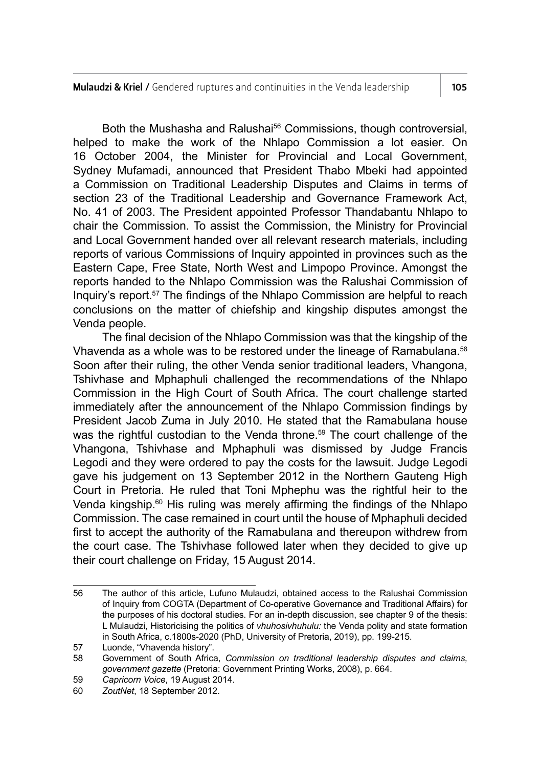Both the Mushasha and Ralushai<sup>56</sup> Commissions, though controversial, helped to make the work of the Nhlapo Commission a lot easier. On 16 October 2004, the Minister for Provincial and Local Government, Sydney Mufamadi, announced that President Thabo Mbeki had appointed a Commission on Traditional Leadership Disputes and Claims in terms of section 23 of the Traditional Leadership and Governance Framework Act, No. 41 of 2003. The President appointed Professor Thandabantu Nhlapo to chair the Commission. To assist the Commission, the Ministry for Provincial and Local Government handed over all relevant research materials, including reports of various Commissions of Inquiry appointed in provinces such as the Eastern Cape, Free State, North West and Limpopo Province. Amongst the reports handed to the Nhlapo Commission was the Ralushai Commission of Inquiry's report.57 The findings of the Nhlapo Commission are helpful to reach conclusions on the matter of chiefship and kingship disputes amongst the Venda people.

The final decision of the Nhlapo Commission was that the kingship of the Vhavenda as a whole was to be restored under the lineage of Ramabulana.<sup>58</sup> Soon after their ruling, the other Venda senior traditional leaders, Vhangona, Tshivhase and Mphaphuli challenged the recommendations of the Nhlapo Commission in the High Court of South Africa. The court challenge started immediately after the announcement of the Nhlapo Commission findings by President Jacob Zuma in July 2010. He stated that the Ramabulana house was the rightful custodian to the Venda throne.<sup>59</sup> The court challenge of the Vhangona, Tshivhase and Mphaphuli was dismissed by Judge Francis Legodi and they were ordered to pay the costs for the lawsuit. Judge Legodi gave his judgement on 13 September 2012 in the Northern Gauteng High Court in Pretoria. He ruled that Toni Mphephu was the rightful heir to the Venda kingship.<sup>60</sup> His ruling was merely affirming the findings of the Nhlapo Commission. The case remained in court until the house of Mphaphuli decided first to accept the authority of the Ramabulana and thereupon withdrew from the court case. The Tshivhase followed later when they decided to give up their court challenge on Friday, 15 August 2014.

<sup>56</sup> The author of this article, Lufuno Mulaudzi, obtained access to the Ralushai Commission of Inquiry from COGTA (Department of Co-operative Governance and Traditional Affairs) for the purposes of his doctoral studies. For an in-depth discussion, see chapter 9 of the thesis: L Mulaudzi, Historicising the politics of *vhuhosivhuhulu:* the Venda polity and state formation in South Africa, c. 1800s-2020 (PhD, University of Pretoria, 2019), pp. 199-215.

<sup>57</sup> Luonde, "Vhavenda history".

<sup>58</sup> Government of South Africa, *Commission on traditional leadership disputes and claims, government gazette* (Pretoria: Government Printing Works, 2008), p. 664.

<sup>59</sup> *Capricorn Voice*, 19 August 2014.

<sup>60</sup> *ZoutNet*, 18 September 2012.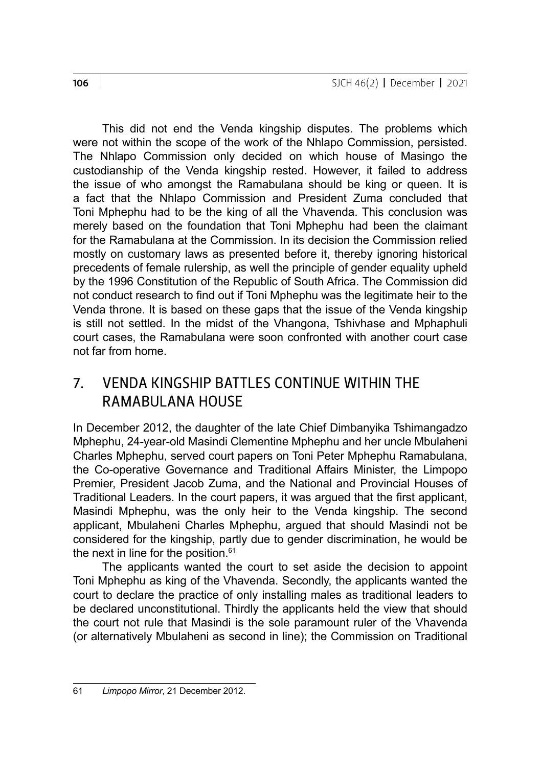This did not end the Venda kingship disputes. The problems which were not within the scope of the work of the Nhlapo Commission, persisted. The Nhlapo Commission only decided on which house of Masingo the custodianship of the Venda kingship rested. However, it failed to address the issue of who amongst the Ramabulana should be king or queen. It is a fact that the Nhlapo Commission and President Zuma concluded that Toni Mphephu had to be the king of all the Vhavenda. This conclusion was merely based on the foundation that Toni Mphephu had been the claimant for the Ramabulana at the Commission. In its decision the Commission relied mostly on customary laws as presented before it, thereby ignoring historical precedents of female rulership, as well the principle of gender equality upheld by the 1996 Constitution of the Republic of South Africa. The Commission did not conduct research to find out if Toni Mphephu was the legitimate heir to the Venda throne. It is based on these gaps that the issue of the Venda kingship is still not settled. In the midst of the Vhangona, Tshivhase and Mphaphuli court cases, the Ramabulana were soon confronted with another court case not far from home.

### 7. VENDA KINGSHIP BATTLES CONTINUE WITHIN THE RAMARUI ANA HOUSE

In December 2012, the daughter of the late Chief Dimbanyika Tshimangadzo Mphephu, 24-year-old Masindi Clementine Mphephu and her uncle Mbulaheni Charles Mphephu, served court papers on Toni Peter Mphephu Ramabulana, the Co-operative Governance and Traditional Affairs Minister, the Limpopo Premier, President Jacob Zuma, and the National and Provincial Houses of Traditional Leaders. In the court papers, it was argued that the first applicant, Masindi Mphephu, was the only heir to the Venda kingship. The second applicant, Mbulaheni Charles Mphephu, argued that should Masindi not be considered for the kingship, partly due to gender discrimination, he would be the next in line for the position.<sup>61</sup>

The applicants wanted the court to set aside the decision to appoint Toni Mphephu as king of the Vhavenda. Secondly, the applicants wanted the court to declare the practice of only installing males as traditional leaders to be declared unconstitutional. Thirdly the applicants held the view that should the court not rule that Masindi is the sole paramount ruler of the Vhavenda (or alternatively Mbulaheni as second in line); the Commission on Traditional

<sup>61</sup> *Limpopo Mirror*, 21 December 2012.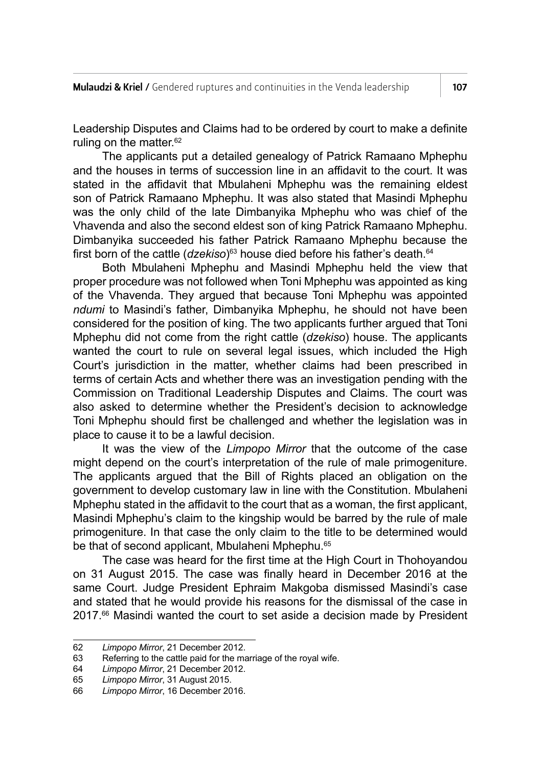Leadership Disputes and Claims had to be ordered by court to make a definite ruling on the matter.<sup>62</sup>

The applicants put a detailed genealogy of Patrick Ramaano Mphephu and the houses in terms of succession line in an affidavit to the court. It was stated in the affidavit that Mbulaheni Mphephu was the remaining eldest son of Patrick Ramaano Mphephu. It was also stated that Masindi Mphephu was the only child of the late Dimbanyika Mphephu who was chief of the Vhavenda and also the second eldest son of king Patrick Ramaano Mphephu. Dimbanyika succeeded his father Patrick Ramaano Mphephu because the first born of the cattle (*dzekiso*) <sup>63</sup> house died before his father's death.64

Both Mbulaheni Mphephu and Masindi Mphephu held the view that proper procedure was not followed when Toni Mphephu was appointed as king of the Vhavenda. They argued that because Toni Mphephu was appointed *ndumi* to Masindi's father, Dimbanyika Mphephu, he should not have been considered for the position of king. The two applicants further argued that Toni Mphephu did not come from the right cattle (*dzekiso*) house. The applicants wanted the court to rule on several legal issues, which included the High Court's jurisdiction in the matter, whether claims had been prescribed in terms of certain Acts and whether there was an investigation pending with the Commission on Traditional Leadership Disputes and Claims. The court was also asked to determine whether the President's decision to acknowledge Toni Mphephu should first be challenged and whether the legislation was in place to cause it to be a lawful decision.

It was the view of the *Limpopo Mirror* that the outcome of the case might depend on the court's interpretation of the rule of male primogeniture. The applicants argued that the Bill of Rights placed an obligation on the government to develop customary law in line with the Constitution. Mbulaheni Mphephu stated in the affidavit to the court that as a woman, the first applicant, Masindi Mphephu's claim to the kingship would be barred by the rule of male primogeniture. In that case the only claim to the title to be determined would be that of second applicant, Mbulaheni Mphephu.<sup>65</sup>

The case was heard for the first time at the High Court in Thohoyandou on 31 August 2015. The case was finally heard in December 2016 at the same Court. Judge President Ephraim Makgoba dismissed Masindi's case and stated that he would provide his reasons for the dismissal of the case in 2017.<sup>66</sup> Masindi wanted the court to set aside a decision made by President

<sup>62</sup> *Limpopo Mirror*, 21 December 2012.

<sup>63</sup> Referring to the cattle paid for the marriage of the royal wife.<br>64 Limpopo Mirror, 21 December 2012.

<sup>64</sup> *Limpopo Mirror*, 21 December 2012.

<sup>65</sup> *Limpopo Mirror*, 31 August 2015.

<sup>66</sup> *Limpopo Mirror*, 16 December 2016.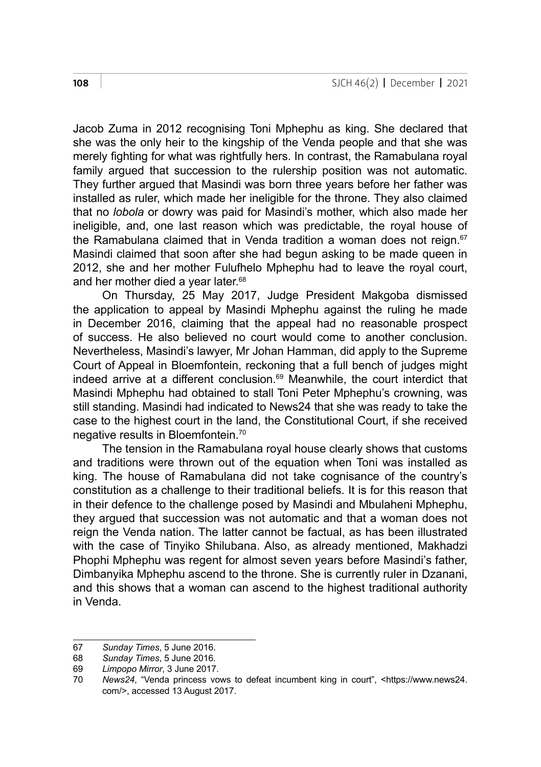Jacob Zuma in 2012 recognising Toni Mphephu as king. She declared that she was the only heir to the kingship of the Venda people and that she was merely fighting for what was rightfully hers. In contrast, the Ramabulana royal family argued that succession to the rulership position was not automatic. They further argued that Masindi was born three years before her father was installed as ruler, which made her ineligible for the throne. They also claimed that no *lobola* or dowry was paid for Masindi's mother, which also made her ineligible, and, one last reason which was predictable, the royal house of the Ramabulana claimed that in Venda tradition a woman does not reign. $67$ Masindi claimed that soon after she had begun asking to be made queen in 2012, she and her mother Fulufhelo Mphephu had to leave the royal court, and her mother died a year later.<sup>68</sup>

On Thursday, 25 May 2017, Judge President Makgoba dismissed the application to appeal by Masindi Mphephu against the ruling he made in December 2016, claiming that the appeal had no reasonable prospect of success. He also believed no court would come to another conclusion. Nevertheless, Masindi's lawyer, Mr Johan Hamman, did apply to the Supreme Court of Appeal in Bloemfontein, reckoning that a full bench of judges might indeed arrive at a different conclusion.<sup>69</sup> Meanwhile, the court interdict that Masindi Mphephu had obtained to stall Toni Peter Mphephu's crowning, was still standing. Masindi had indicated to News24 that she was ready to take the case to the highest court in the land, the Constitutional Court, if she received negative results in Bloemfontein.70

The tension in the Ramabulana royal house clearly shows that customs and traditions were thrown out of the equation when Toni was installed as king. The house of Ramabulana did not take cognisance of the country's constitution as a challenge to their traditional beliefs. It is for this reason that in their defence to the challenge posed by Masindi and Mbulaheni Mphephu, they argued that succession was not automatic and that a woman does not reign the Venda nation. The latter cannot be factual, as has been illustrated with the case of Tinyiko Shilubana. Also, as already mentioned, Makhadzi Phophi Mphephu was regent for almost seven years before Masindi's father, Dimbanyika Mphephu ascend to the throne. She is currently ruler in Dzanani, and this shows that a woman can ascend to the highest traditional authority in Venda.

<sup>67</sup> *Sunday Times*, 5 June 2016.

<sup>68</sup> *Sunday Times*, 5 June 2016*.*

<sup>69</sup> *Limpopo Mirror*, 3 June 2017.

<sup>70</sup> *News24*, "Venda princess vows to defeat incumbent king in court", <https://www.news24. com/>, accessed 13 August 2017.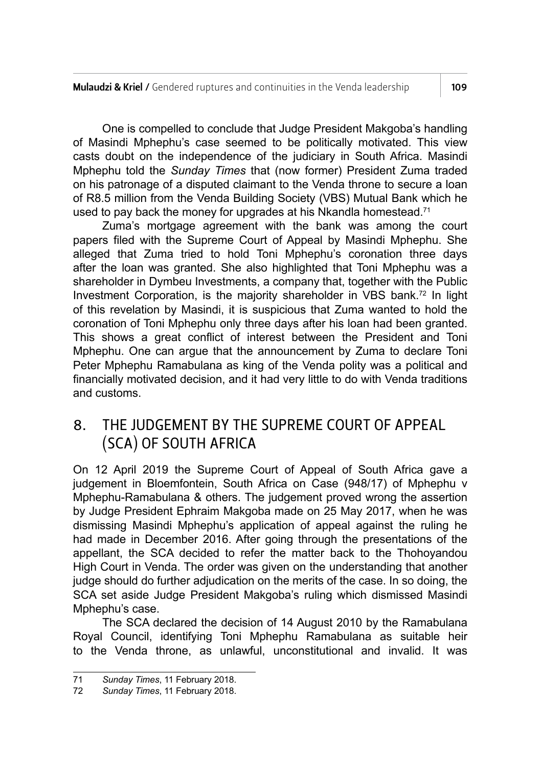One is compelled to conclude that Judge President Makgoba's handling of Masindi Mphephu's case seemed to be politically motivated. This view casts doubt on the independence of the judiciary in South Africa. Masindi Mphephu told the *Sunday Times* that (now former) President Zuma traded on his patronage of a disputed claimant to the Venda throne to secure a loan of R8.5 million from the Venda Building Society (VBS) Mutual Bank which he used to pay back the money for upgrades at his Nkandla homestead.<sup>71</sup>

Zuma's mortgage agreement with the bank was among the court papers filed with the Supreme Court of Appeal by Masindi Mphephu. She alleged that Zuma tried to hold Toni Mphephu's coronation three days after the loan was granted. She also highlighted that Toni Mphephu was a shareholder in Dymbeu Investments, a company that, together with the Public Investment Corporation, is the majority shareholder in VBS bank.<sup>72</sup> In light of this revelation by Masindi, it is suspicious that Zuma wanted to hold the coronation of Toni Mphephu only three days after his loan had been granted. This shows a great conflict of interest between the President and Toni Mphephu. One can argue that the announcement by Zuma to declare Toni Peter Mphephu Ramabulana as king of the Venda polity was a political and financially motivated decision, and it had very little to do with Venda traditions and customs.

## 8. THE JUDGEMENT BY THE SUPREME COURT OF APPEAL (SCA) OF SOUTH AFRICA

On 12 April 2019 the Supreme Court of Appeal of South Africa gave a judgement in Bloemfontein, South Africa on Case (948/17) of Mphephu v Mphephu-Ramabulana & others. The judgement proved wrong the assertion by Judge President Ephraim Makgoba made on 25 May 2017, when he was dismissing Masindi Mphephu's application of appeal against the ruling he had made in December 2016. After going through the presentations of the appellant, the SCA decided to refer the matter back to the Thohoyandou High Court in Venda. The order was given on the understanding that another judge should do further adjudication on the merits of the case. In so doing, the SCA set aside Judge President Makgoba's ruling which dismissed Masindi Mphephu's case.

The SCA declared the decision of 14 August 2010 by the Ramabulana Royal Council, identifying Toni Mphephu Ramabulana as suitable heir to the Venda throne, as unlawful, unconstitutional and invalid. It was

<sup>71</sup> *Sunday Times*, 11 February 2018.

Sunday Times, 11 February 2018.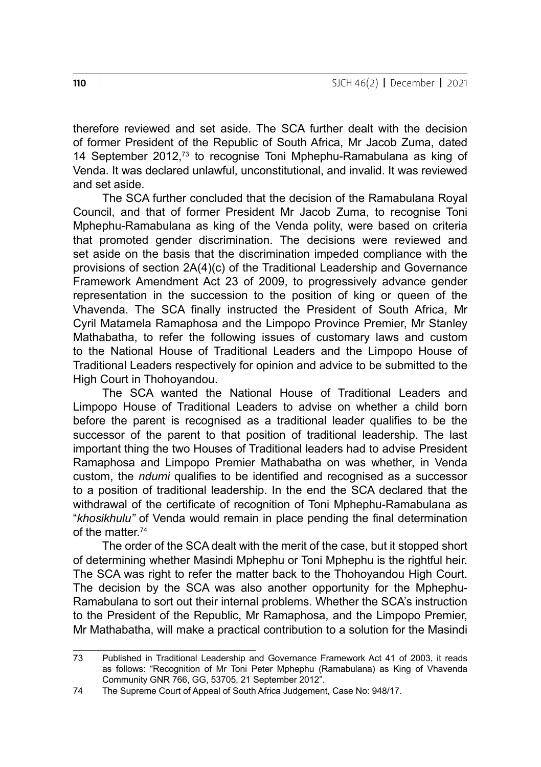therefore reviewed and set aside. The SCA further dealt with the decision of former President of the Republic of South Africa, Mr Jacob Zuma, dated 14 September 2012,<sup>73</sup> to recognise Toni Mphephu-Ramabulana as king of Venda. It was declared unlawful, unconstitutional, and invalid. It was reviewed and set aside.

The SCA further concluded that the decision of the Ramabulana Royal Council, and that of former President Mr Jacob Zuma, to recognise Toni Mphephu-Ramabulana as king of the Venda polity, were based on criteria that promoted gender discrimination. The decisions were reviewed and set aside on the basis that the discrimination impeded compliance with the provisions of section 2A(4)(c) of the Traditional Leadership and Governance Framework Amendment Act 23 of 2009, to progressively advance gender representation in the succession to the position of king or queen of the Vhavenda. The SCA finally instructed the President of South Africa, Mr Cyril Matamela Ramaphosa and the Limpopo Province Premier, Mr Stanley Mathabatha, to refer the following issues of customary laws and custom to the National House of Traditional Leaders and the Limpopo House of Traditional Leaders respectively for opinion and advice to be submitted to the High Court in Thohoyandou.

The SCA wanted the National House of Traditional Leaders and Limpopo House of Traditional Leaders to advise on whether a child born before the parent is recognised as a traditional leader qualifies to be the successor of the parent to that position of traditional leadership. The last important thing the two Houses of Traditional leaders had to advise President Ramaphosa and Limpopo Premier Mathabatha on was whether, in Venda custom, the *ndumi* qualifies to be identified and recognised as a successor to a position of traditional leadership. In the end the SCA declared that the withdrawal of the certificate of recognition of Toni Mphephu-Ramabulana as "*khosikhulu"* of Venda would remain in place pending the final determination of the matter.74

The order of the SCA dealt with the merit of the case, but it stopped short of determining whether Masindi Mphephu or Toni Mphephu is the rightful heir. The SCA was right to refer the matter back to the Thohoyandou High Court. The decision by the SCA was also another opportunity for the Mphephu-Ramabulana to sort out their internal problems. Whether the SCA's instruction to the President of the Republic, Mr Ramaphosa, and the Limpopo Premier, Mr Mathabatha, will make a practical contribution to a solution for the Masindi

<sup>73</sup> Published in Traditional Leadership and Governance Framework Act 41 of 2003, it reads as follows: "Recognition of Mr Toni Peter Mphephu (Ramabulana) as King of Vhavenda Community GNR 766, GG, 53705, 21 September 2012".

<sup>74</sup> The Supreme Court of Appeal of South Africa Judgement, Case No: 948/17.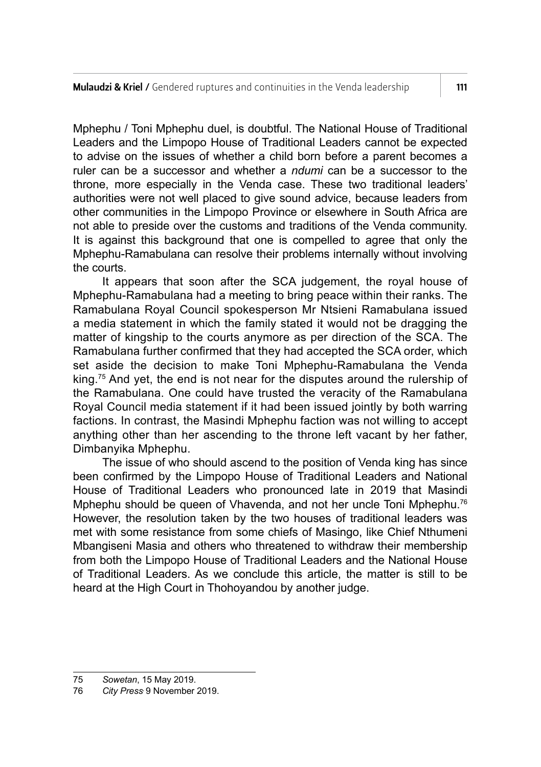Mphephu / Toni Mphephu duel, is doubtful. The National House of Traditional Leaders and the Limpopo House of Traditional Leaders cannot be expected to advise on the issues of whether a child born before a parent becomes a ruler can be a successor and whether a *ndumi* can be a successor to the throne, more especially in the Venda case. These two traditional leaders' authorities were not well placed to give sound advice, because leaders from other communities in the Limpopo Province or elsewhere in South Africa are not able to preside over the customs and traditions of the Venda community. It is against this background that one is compelled to agree that only the Mphephu-Ramabulana can resolve their problems internally without involving the courts.

It appears that soon after the SCA judgement, the royal house of Mphephu-Ramabulana had a meeting to bring peace within their ranks. The Ramabulana Royal Council spokesperson Mr Ntsieni Ramabulana issued a media statement in which the family stated it would not be dragging the matter of kingship to the courts anymore as per direction of the SCA. The Ramabulana further confirmed that they had accepted the SCA order, which set aside the decision to make Toni Mphephu-Ramabulana the Venda king.<sup>75</sup> And yet, the end is not near for the disputes around the rulership of the Ramabulana. One could have trusted the veracity of the Ramabulana Royal Council media statement if it had been issued jointly by both warring factions. In contrast, the Masindi Mphephu faction was not willing to accept anything other than her ascending to the throne left vacant by her father, Dimbanyika Mphephu.

The issue of who should ascend to the position of Venda king has since been confirmed by the Limpopo House of Traditional Leaders and National House of Traditional Leaders who pronounced late in 2019 that Masindi Mphephu should be queen of Vhavenda, and not her uncle Toni Mphephu.<sup>76</sup> However, the resolution taken by the two houses of traditional leaders was met with some resistance from some chiefs of Masingo, like Chief Nthumeni Mbangiseni Masia and others who threatened to withdraw their membership from both the Limpopo House of Traditional Leaders and the National House of Traditional Leaders. As we conclude this article, the matter is still to be heard at the High Court in Thohoyandou by another judge.

<sup>75</sup> *Sowetan*, 15 May 2019.

<sup>76</sup> *City Press*, 9 November 2019.